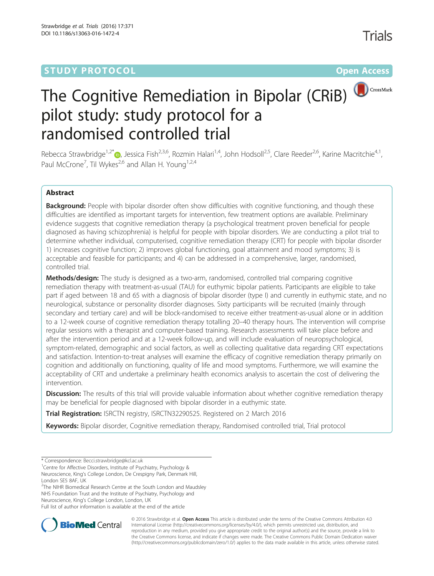# **STUDY PROTOCOL CONSUMING THE RESERVE ACCESS**



# The Cognitive Remediation in Bipolar (CRiB) pilot study: study protocol for a randomised controlled trial

Rebecca Strawbridge<sup>1[,](http://orcid.org/0000-0002-2984-1124)2\*</sup> <sub>(b</sub>, Jessica Fish<sup>2,3,6</sup>, Rozmin Halari<sup>1,4</sup>, John Hodsoll<sup>2,5</sup>, Clare Reeder<sup>2,6</sup>, Karine Macritchie<sup>4,1</sup>, Paul McCrone<sup>7</sup>, Til Wykes<sup>2,6</sup> and Allan H. Young<sup>1,2,4</sup>

# Abstract

Background: People with bipolar disorder often show difficulties with cognitive functioning, and though these difficulties are identified as important targets for intervention, few treatment options are available. Preliminary evidence suggests that cognitive remediation therapy (a psychological treatment proven beneficial for people diagnosed as having schizophrenia) is helpful for people with bipolar disorders. We are conducting a pilot trial to determine whether individual, computerised, cognitive remediation therapy (CRT) for people with bipolar disorder 1) increases cognitive function; 2) improves global functioning, goal attainment and mood symptoms; 3) is acceptable and feasible for participants; and 4) can be addressed in a comprehensive, larger, randomised, controlled trial.

Methods/design: The study is designed as a two-arm, randomised, controlled trial comparing cognitive remediation therapy with treatment-as-usual (TAU) for euthymic bipolar patients. Participants are eligible to take part if aged between 18 and 65 with a diagnosis of bipolar disorder (type I) and currently in euthymic state, and no neurological, substance or personality disorder diagnoses. Sixty participants will be recruited (mainly through secondary and tertiary care) and will be block-randomised to receive either treatment-as-usual alone or in addition to a 12-week course of cognitive remediation therapy totalling 20–40 therapy hours. The intervention will comprise regular sessions with a therapist and computer-based training. Research assessments will take place before and after the intervention period and at a 12-week follow-up, and will include evaluation of neuropsychological, symptom-related, demographic and social factors, as well as collecting qualitative data regarding CRT expectations and satisfaction. Intention-to-treat analyses will examine the efficacy of cognitive remediation therapy primarily on cognition and additionally on functioning, quality of life and mood symptoms. Furthermore, we will examine the acceptability of CRT and undertake a preliminary health economics analysis to ascertain the cost of delivering the intervention.

Discussion: The results of this trial will provide valuable information about whether cognitive remediation therapy may be beneficial for people diagnosed with bipolar disorder in a euthymic state.

Trial Registration: ISRCTN registry, [ISRCTN32290525](http://www.isrctn.com/ISRCTN32290525). Registered on 2 March 2016

Keywords: Bipolar disorder, Cognitive remediation therapy, Randomised controlled trial, Trial protocol

<sup>1</sup> Centre for Affective Disorders, Institute of Psychiatry, Psychology & Neuroscience, King's College London, De Crespigny Park, Denmark Hill,

London SE5 8AF, UK

<sup>2</sup>The NIHR Biomedical Research Centre at the South London and Maudsley NHS Foundation Trust and the Institute of Psychiatry, Psychology and Neuroscience, King's College London, London, UK

Full list of author information is available at the end of the article



© 2016 Strawbridge et al. Open Access This article is distributed under the terms of the Creative Commons Attribution 4.0 International License [\(http://creativecommons.org/licenses/by/4.0/](http://creativecommons.org/licenses/by/4.0/)), which permits unrestricted use, distribution, and reproduction in any medium, provided you give appropriate credit to the original author(s) and the source, provide a link to the Creative Commons license, and indicate if changes were made. The Creative Commons Public Domain Dedication waiver [\(http://creativecommons.org/publicdomain/zero/1.0/](http://creativecommons.org/publicdomain/zero/1.0/)) applies to the data made available in this article, unless otherwise stated.

<sup>\*</sup> Correspondence: [Becci.strawbridge@kcl.ac.uk](mailto:Becci.strawbridge@kcl.ac.uk) <sup>1</sup>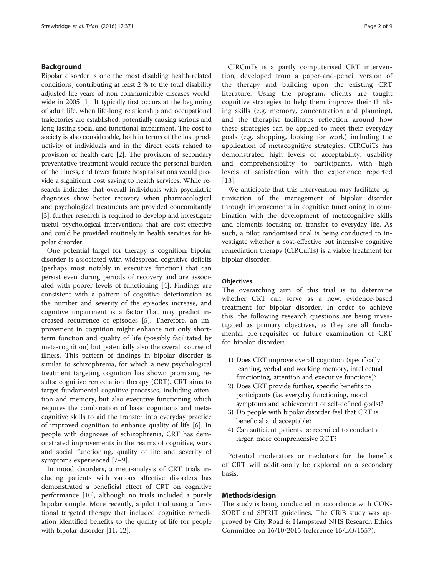# Background

Bipolar disorder is one the most disabling health-related conditions, contributing at least 2 % to the total disability adjusted life-years of non-communicable diseases worldwide in 2005 [[1\]](#page-8-0). It typically first occurs at the beginning of adult life, when life-long relationship and occupational trajectories are established, potentially causing serious and long-lasting social and functional impairment. The cost to society is also considerable, both in terms of the lost productivity of individuals and in the direct costs related to provision of health care [[2\]](#page-8-0). The provision of secondary preventative treatment would reduce the personal burden of the illness, and fewer future hospitalisations would provide a significant cost saving to health services. While research indicates that overall individuals with psychiatric diagnoses show better recovery when pharmacological and psychological treatments are provided concomitantly [[3\]](#page-8-0), further research is required to develop and investigate useful psychological interventions that are cost-effective and could be provided routinely in health services for bipolar disorder.

One potential target for therapy is cognition: bipolar disorder is associated with widespread cognitive deficits (perhaps most notably in executive function) that can persist even during periods of recovery and are associated with poorer levels of functioning [[4\]](#page-8-0). Findings are consistent with a pattern of cognitive deterioration as the number and severity of the episodes increase, and cognitive impairment is a factor that may predict increased recurrence of episodes [[5\]](#page-8-0). Therefore, an improvement in cognition might enhance not only shortterm function and quality of life (possibly facilitated by meta-cognition) but potentially also the overall course of illness. This pattern of findings in bipolar disorder is similar to schizophrenia, for which a new psychological treatment targeting cognition has shown promising results: cognitive remediation therapy (CRT). CRT aims to target fundamental cognitive processes, including attention and memory, but also executive functioning which requires the combination of basic cognitions and metacognitive skills to aid the transfer into everyday practice of improved cognition to enhance quality of life [[6](#page-8-0)]. In people with diagnoses of schizophrenia, CRT has demonstrated improvements in the realms of cognitive, work and social functioning, quality of life and severity of symptoms experienced [\[7](#page-8-0)–[9](#page-8-0)].

In mood disorders, a meta-analysis of CRT trials including patients with various affective disorders has demonstrated a beneficial effect of CRT on cognitive performance [\[10](#page-8-0)], although no trials included a purely bipolar sample. More recently, a pilot trial using a functional targeted therapy that included cognitive remediation identified benefits to the quality of life for people with bipolar disorder [[11, 12\]](#page-8-0).

CIRCuiTs is a partly computerised CRT intervention, developed from a paper-and-pencil version of the therapy and building upon the existing CRT literature. Using the program, clients are taught cognitive strategies to help them improve their thinking skills (e.g. memory, concentration and planning), and the therapist facilitates reflection around how these strategies can be applied to meet their everyday goals (e.g. shopping, looking for work) including the application of metacognitive strategies. CIRCuiTs has demonstrated high levels of acceptability, usability and comprehensibility to participants, with high levels of satisfaction with the experience reported [[13](#page-8-0)].

We anticipate that this intervention may facilitate optimisation of the management of bipolar disorder through improvements in cognitive functioning in combination with the development of metacognitive skills and elements focusing on transfer to everyday life. As such, a pilot randomised trial is being conducted to investigate whether a cost-effective but intensive cognitive remediation therapy (CIRCuiTs) is a viable treatment for bipolar disorder.

# **Objectives**

The overarching aim of this trial is to determine whether CRT can serve as a new, evidence-based treatment for bipolar disorder. In order to achieve this, the following research questions are being investigated as primary objectives, as they are all fundamental pre-requisites of future examination of CRT for bipolar disorder:

- 1) Does CRT improve overall cognition (specifically learning, verbal and working memory, intellectual functioning, attention and executive functions)?
- 2) Does CRT provide further, specific benefits to participants (i.e. everyday functioning, mood symptoms and achievement of self-defined goals)?
- 3) Do people with bipolar disorder feel that CRT is beneficial and acceptable?
- 4) Can sufficient patients be recruited to conduct a larger, more comprehensive RCT?

Potential moderators or mediators for the benefits of CRT will additionally be explored on a secondary basis.

# Methods/design

The study is being conducted in accordance with CON-SORT and SPIRIT guidelines. The CRiB study was approved by City Road & Hampstead NHS Research Ethics Committee on 16/10/2015 (reference 15/LO/1557).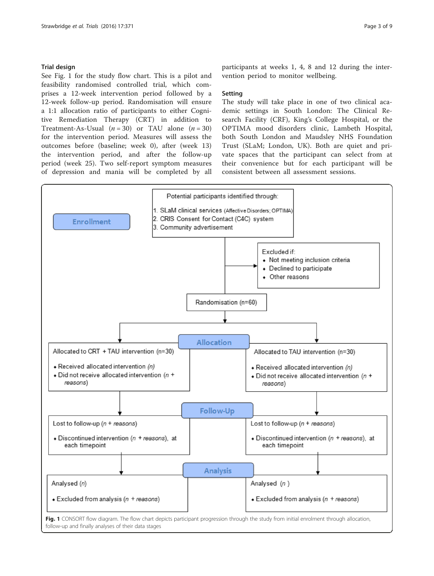# Trial design

See Fig. 1 for the study flow chart. This is a pilot and feasibility randomised controlled trial, which comprises a 12-week intervention period followed by a 12-week follow-up period. Randomisation will ensure a 1:1 allocation ratio of participants to either Cognitive Remediation Therapy (CRT) in addition to Treatment-As-Usual  $(n = 30)$  or TAU alone  $(n = 30)$ for the intervention period. Measures will assess the outcomes before (baseline; week 0), after (week 13) the intervention period, and after the follow-up period (week 25). Two self-report symptom measures of depression and mania will be completed by all

participants at weeks 1, 4, 8 and 12 during the intervention period to monitor wellbeing.

#### Setting

The study will take place in one of two clinical academic settings in South London: The Clinical Research Facility (CRF), King's College Hospital, or the OPTIMA mood disorders clinic, Lambeth Hospital, both South London and Maudsley NHS Foundation Trust (SLaM; London, UK). Both are quiet and private spaces that the participant can select from at their convenience but for each participant will be consistent between all assessment sessions.



follow-up and finally analyses of their data stages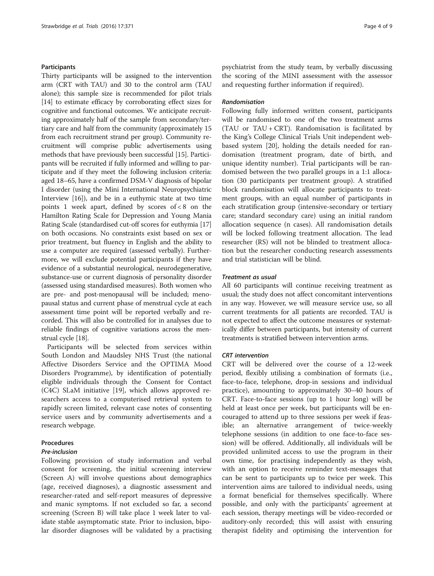# Participants

Thirty participants will be assigned to the intervention arm (CRT with TAU) and 30 to the control arm (TAU alone); this sample size is recommended for pilot trials [[14](#page-8-0)] to estimate efficacy by corroborating effect sizes for cognitive and functional outcomes. We anticipate recruiting approximately half of the sample from secondary/tertiary care and half from the community (approximately 15 from each recruitment strand per group). Community recruitment will comprise public advertisements using methods that have previously been successful [[15](#page-8-0)]. Participants will be recruited if fully informed and willing to participate and if they meet the following inclusion criteria: aged 18–65, have a confirmed DSM-V diagnosis of bipolar I disorder (using the Mini International Neuropsychiatric Interview [[16](#page-8-0)]), and be in a euthymic state at two time points 1 week apart, defined by scores of < 8 on the Hamilton Rating Scale for Depression and Young Mania Rating Scale (standardised cut-off scores for euthymia [[17](#page-8-0)] on both occasions. No constraints exist based on sex or prior treatment, but fluency in English and the ability to use a computer are required (assessed verbally). Furthermore, we will exclude potential participants if they have evidence of a substantial neurological, neurodegenerative, substance-use or current diagnosis of personality disorder (assessed using standardised measures). Both women who are pre- and post-menopausal will be included; menopausal status and current phase of menstrual cycle at each assessment time point will be reported verbally and recorded. This will also be controlled for in analyses due to reliable findings of cognitive variations across the menstrual cycle [\[18\]](#page-8-0).

Participants will be selected from services within South London and Maudsley NHS Trust (the national Affective Disorders Service and the OPTIMA Mood Disorders Programme), by identification of potentially eligible individuals through the Consent for Contact (C4C) SLaM initiative [[19\]](#page-8-0), which allows approved researchers access to a computerised retrieval system to rapidly screen limited, relevant case notes of consenting service users and by community advertisements and a research webpage.

#### Procedures

# Pre-inclusion

Following provision of study information and verbal consent for screening, the initial screening interview (Screen A) will involve questions about demographics (age, received diagnoses), a diagnostic assessment and researcher-rated and self-report measures of depressive and manic symptoms. If not excluded so far, a second screening (Screen B) will take place 1 week later to validate stable asymptomatic state. Prior to inclusion, bipolar disorder diagnoses will be validated by a practising psychiatrist from the study team, by verbally discussing the scoring of the MINI assessment with the assessor and requesting further information if required).

# Randomisation

Following fully informed written consent, participants will be randomised to one of the two treatment arms (TAU or TAU + CRT). Randomisation is facilitated by the King's College Clinical Trials Unit independent webbased system [[20\]](#page-8-0), holding the details needed for randomisation (treatment program, date of birth, and unique identity number). Trial participants will be randomised between the two parallel groups in a 1:1 allocation (30 participants per treatment group). A stratified block randomisation will allocate participants to treatment groups, with an equal number of participants in each stratification group (intensive-secondary or tertiary care; standard secondary care) using an initial random allocation sequence (n cases). All randomisation details will be locked following treatment allocation. The lead researcher (RS) will not be blinded to treatment allocation but the researcher conducting research assessments and trial statistician will be blind.

#### Treatment as usual

All 60 participants will continue receiving treatment as usual; the study does not affect concomitant interventions in any way. However, we will measure service use, so all current treatments for all patients are recorded. TAU is not expected to affect the outcome measures or systematically differ between participants, but intensity of current treatments is stratified between intervention arms.

#### CRT intervention

CRT will be delivered over the course of a 12-week period, flexibly utilising a combination of formats (i.e., face-to-face, telephone, drop-in sessions and individual practice), amounting to approximately 30–40 hours of CRT. Face-to-face sessions (up to 1 hour long) will be held at least once per week, but participants will be encouraged to attend up to three sessions per week if feasible; an alternative arrangement of twice-weekly telephone sessions (in addition to one face-to-face session) will be offered. Additionally, all individuals will be provided unlimited access to use the program in their own time, for practising independently as they wish, with an option to receive reminder text-messages that can be sent to participants up to twice per week. This intervention aims are tailored to individual needs, using a format beneficial for themselves specifically. Where possible, and only with the participants' agreement at each session, therapy meetings will be video-recorded or auditory-only recorded; this will assist with ensuring therapist fidelity and optimising the intervention for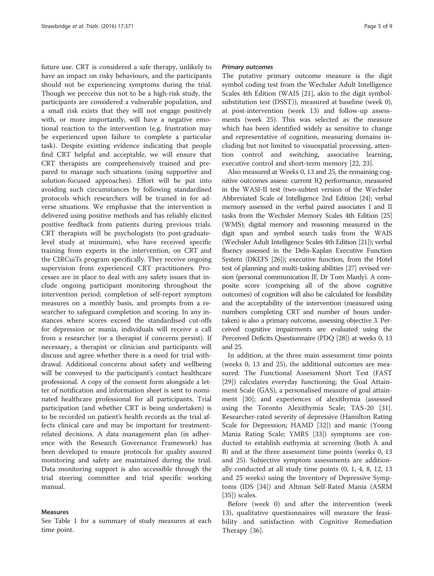future use. CRT is considered a safe therapy, unlikely to have an impact on risky behaviours, and the participants should not be experiencing symptoms during the trial. Though we perceive this not to be a high-risk study, the participants are considered a vulnerable population, and a small risk exists that they will not engage positively with, or more importantly, will have a negative emotional reaction to the intervention (e.g. frustration may be experienced upon failure to complete a particular task). Despite existing evidence indicating that people find CRT helpful and acceptable, we will ensure that CRT therapists are comprehensively trained and prepared to manage such situations (using supportive and solution-focused approaches). Effort will be put into avoiding such circumstances by following standardised protocols which researchers will be trained in for adverse situations. We emphasise that the intervention is delivered using positive methods and has reliably elicited positive feedback from patients during previous trials. CRT therapists will be psychologists (to post-graduatelevel study at minimum), who have received specific training from experts in the intervention, on CRT and the CIRCuiTs program specifically. They receive ongoing supervision from experienced CRT practitioners. Processes are in place to deal with any safety issues that include ongoing participant monitoring throughout the intervention period; completion of self-report symptom measures on a monthly basis, and prompts from a researcher to safeguard completion and scoring. In any instances where scores exceed the standardised cut-offs for depression or mania, individuals will receive a call from a researcher (or a therapist if concerns persist). If necessary, a therapist or clinician and participants will discuss and agree whether there is a need for trial withdrawal. Additional concerns about safety and wellbeing will be conveyed to the participant's contact healthcare professional. A copy of the consent form alongside a letter of notification and information sheet is sent to nominated healthcare professional for all participants. Trial participation (and whether CRT is being undertaken) is to be recorded on patient's health records as the trial affects clinical care and may be important for treatmentrelated decisions. A data management plan (in adherence with the Research Governance Framework) has been developed to ensure protocols for quality assured monitoring and safety are maintained during the trial. Data monitoring support is also accessible through the trial steering committee and trial specific working manual.

#### Measures

See Table [1](#page-5-0) for a summary of study measures at each time point.

#### Primary outcomes

The putative primary outcome measure is the digit symbol coding test from the Wechsler Adult Intelligence Scales 4th Edition (WAIS [\[21\]](#page-8-0), akin to the digit symbolsubstitution test (DSST)), measured at baseline (week 0), at post-intervention (week 13) and follow-up assessments (week 25). This was selected as the measure which has been identified widely as sensitive to change and representative of cognition, measuring domains including but not limited to visuospatial processing, attention control and switching, associative learning, executive control and short-term memory [\[22, 23\]](#page-8-0).

Also measured at Weeks 0, 13 and 25, the remaining cognitive outcomes assess: current IQ performance, measured in the WASI-II test (two-subtest version of the Wechsler Abbreviated Scale of Intelligence 2nd Edition [\[24\]](#page-8-0); verbal memory assessed in the verbal paired associates I and II tasks from the Wechsler Memory Scales 4th Edition [\[25](#page-8-0)] (WMS); digital memory and reasoning measured in the digit span and symbol search tasks from the WAIS (Wechsler Adult Intelligence Scales 4th Edition [\[21](#page-8-0)]); verbal fluency assessed in the Delis-Kaplan Executive Function System (DKEFS [\[26\]](#page-8-0)); executive function, from the Hotel test of planning and multi-tasking abilities [\[27\]](#page-8-0) revised version (personal communication JF, Dr Tom Manly). A composite score (comprising all of the above cognitive outcomes) of cognition will also be calculated for feasibility and the acceptability of the intervention (measured using numbers completing CRT and number of hours undertaken) is also a primary outcome, assessing objective 3. Perceived cognitive impairments are evaluated using the Perceived Deficits Questionnaire (PDQ [\[28\]](#page-8-0)) at weeks 0, 13 and 25.

In addition, at the three main assessment time points (weeks 0, 13 and 25), the additional outcomes are measured: The Functional Assessment Short Test (FAST [[29\]](#page-8-0)) calculates everyday functioning; the Goal Attainment Scale (GAS), a personalised measure of goal attainment [[30\]](#page-8-0); and experiences of alexithymia (assessed using the Toronto Alexithymia Scale; TAS-20 [\[31](#page-8-0)]. Researcher-rated severity of depressive (Hamilton Rating Scale for Depression; HAMD [\[32\]](#page-8-0)) and manic (Young Mania Rating Scale; YMRS [\[33](#page-8-0)]) symptoms are conducted to establish euthymia at screening (both A and B) and at the three assessment time points (weeks 0, 13 and 25). Subjective symptom assessments are additionally conducted at all study time points (0, 1, 4, 8, 12, 13 and 25 weeks) using the Inventory of Depressive Symptoms (IDS [[34\]](#page-8-0)) and Altman Self-Rated Mania (ASRM [[35\]](#page-8-0)) scales.

Before (week 0) and after the intervention (week 13), qualitative questionnaires will measure the feasibility and satisfaction with Cognitive Remediation Therapy [\[36](#page-8-0)].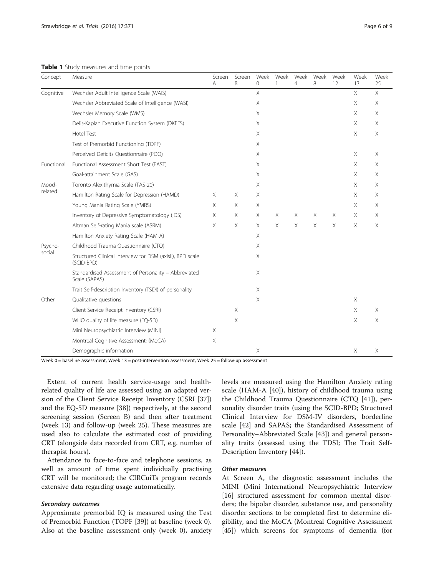<span id="page-5-0"></span>Table 1 Study measures and time points

| Concept           | Measure                                                                 | Screen<br>A | Screen<br>B | Week<br>$\Omega$ | Week        | Week<br>$\overline{4}$    | Week<br>8   | Week<br>12 | Week<br>13 | Week<br>25 |
|-------------------|-------------------------------------------------------------------------|-------------|-------------|------------------|-------------|---------------------------|-------------|------------|------------|------------|
| Cognitive         | Wechsler Adult Intelligence Scale (WAIS)                                |             |             | $\times$         |             |                           |             |            | $\times$   | $\times$   |
|                   | Wechsler Abbreviated Scale of Intelligence (WASI)                       |             |             | Χ                |             |                           |             |            | Χ          | Χ          |
|                   | Wechsler Memory Scale (WMS)                                             |             |             | Χ                |             |                           |             |            | Χ          | Χ          |
|                   | Delis-Kaplan Executive Function System (DKEFS)                          |             |             | X                |             |                           |             |            | X          | $\times$   |
|                   | <b>Hotel Test</b>                                                       |             |             | Χ                |             |                           |             |            | X          | Χ          |
|                   | Test of Premorbid Functioning (TOPF)                                    |             |             | Χ                |             |                           |             |            |            |            |
|                   | Perceived Deficits Questionnaire (PDQ)                                  |             |             | Χ                |             |                           |             |            | Χ          | Χ          |
| Functional        | Functional Assessment Short Test (FAST)                                 |             |             | Χ                |             |                           |             |            | $\times$   | X          |
|                   | Goal-attainment Scale (GAS)                                             |             |             | Χ                |             |                           |             |            | $\times$   | Χ          |
| Mood-<br>related  | Toronto Alexithymia Scale (TAS-20)                                      |             |             | X                |             |                           |             |            | Χ          | X          |
|                   | Hamilton Rating Scale for Depression (HAMD)                             | X.          | X           | Χ                |             |                           |             |            | X          | X          |
|                   | Young Mania Rating Scale (YMRS)                                         | $\times$    | X           | X                |             |                           |             |            | $\times$   | $\times$   |
|                   | Inventory of Depressive Symptomatology (IDS)                            | X           | X           | X                | Χ           | Χ                         | X           | Χ          | Χ          | Χ          |
|                   | Altman Self-rating Mania scale (ASRM)                                   | $\times$    | Χ           | Χ                | $\mathsf X$ | $\boldsymbol{\mathsf{X}}$ | $\mathsf X$ | Χ          | Χ          | Χ          |
|                   | Hamilton Anxiety Rating Scale (HAM-A)                                   |             |             | Χ                |             |                           |             |            |            |            |
| Psycho-<br>social | Childhood Trauma Questionnaire (CTQ)                                    |             |             | Χ                |             |                           |             |            |            |            |
|                   | Structured Clinical Interview for DSM (axisll), BPD scale<br>(SCID-BPD) |             |             | Χ                |             |                           |             |            |            |            |
|                   | Standardised Assessment of Personality - Abbreviated<br>Scale (SAPAS)   |             |             | X                |             |                           |             |            |            |            |
|                   | Trait Self-description Inventory (TSDI) of personality                  |             |             | X                |             |                           |             |            |            |            |
| Other             | Qualitative questions                                                   |             |             | Χ                |             |                           |             |            | Χ          |            |
|                   | Client Service Receipt Inventory (CSRI)                                 |             | X           |                  |             |                           |             |            | $\times$   | $\times$   |
|                   | WHO quality of life measure (EQ-5D)                                     |             | X           |                  |             |                           |             |            | X          | $\times$   |
|                   | Mini Neuropsychiatric Interview (MINI)                                  | $\times$    |             |                  |             |                           |             |            |            |            |
|                   | Montreal Cognitive Assessment; (MoCA)                                   | X           |             |                  |             |                           |             |            |            |            |
|                   | Demographic information                                                 |             |             | Χ                |             |                           |             |            | Χ          | Χ          |

Week 0 = baseline assessment, Week 13 = post-intervention assessment, Week 25 = follow-up assessment

Extent of current health service-usage and healthrelated quality of life are assessed using an adapted version of the Client Service Receipt Inventory (CSRI [\[37](#page-8-0)]) and the EQ-5D measure [\[38](#page-8-0)]) respectively, at the second screening session (Screen B) and then after treatment (week 13) and follow-up (week 25). These measures are used also to calculate the estimated cost of providing CRT (alongside data recorded from CRT, e.g. number of therapist hours).

Attendance to face-to-face and telephone sessions, as well as amount of time spent individually practising CRT will be monitored; the CIRCuiTs program records extensive data regarding usage automatically.

#### Secondary outcomes

Approximate premorbid IQ is measured using the Test of Premorbid Function (TOPF [\[39\]](#page-8-0)) at baseline (week 0). Also at the baseline assessment only (week 0), anxiety levels are measured using the Hamilton Anxiety rating scale (HAM-A [[40\]](#page-8-0)), history of childhood trauma using the Childhood Trauma Questionnaire (CTQ [\[41](#page-8-0)]), personality disorder traits (using the SCID-BPD; Structured Clinical Interview for DSM-IV disorders, borderline scale [[42\]](#page-8-0) and SAPAS; the Standardised Assessment of Personality–Abbreviated Scale [\[43](#page-8-0)]) and general personality traits (assessed using the TDSI; The Trait Self-Description Inventory [[44](#page-8-0)]).

# Other measures

At Screen A, the diagnostic assessment includes the MINI (Mini International Neuropsychiatric Interview [[16\]](#page-8-0) structured assessment for common mental disorders; the bipolar disorder, substance use, and personality disorder sections to be completed first to determine eligibility, and the MoCA (Montreal Cognitive Assessment [[45\]](#page-8-0)) which screens for symptoms of dementia (for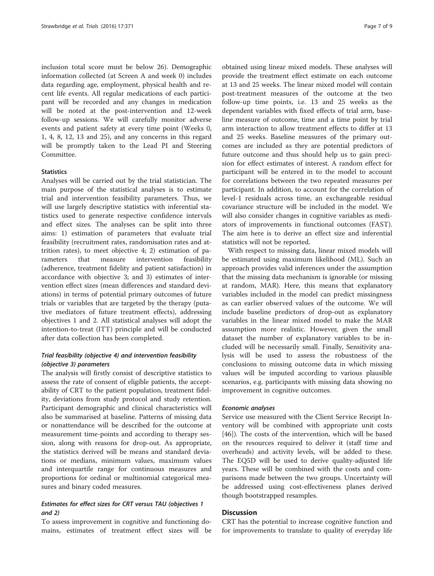inclusion total score must be below 26). Demographic information collected (at Screen A and week 0) includes data regarding age, employment, physical health and recent life events. All regular medications of each participant will be recorded and any changes in medication will be noted at the post-intervention and 12-week follow-up sessions. We will carefully monitor adverse events and patient safety at every time point (Weeks 0, 1, 4, 8, 12, 13 and 25), and any concerns in this regard will be promptly taken to the Lead PI and Steering Committee.

# **Statistics**

Analyses will be carried out by the trial statistician. The main purpose of the statistical analyses is to estimate trial and intervention feasibility parameters. Thus, we will use largely descriptive statistics with inferential statistics used to generate respective confidence intervals and effect sizes. The analyses can be split into three aims: 1) estimation of parameters that evaluate trial feasibility (recruitment rates, randomisation rates and attrition rates), to meet objective 4; 2) estimation of parameters that measure intervention feasibility (adherence, treatment fidelity and patient satisfaction) in accordance with objective 3; and 3) estimates of intervention effect sizes (mean differences and standard deviations) in terms of potential primary outcomes of future trials or variables that are targeted by the therapy (putative mediators of future treatment effects), addressing objectives 1 and 2. All statistical analyses will adopt the intention-to-treat (ITT) principle and will be conducted after data collection has been completed.

# Trial feasibility (objective 4) and intervention feasibility (objective 3) parameters

The analysis will firstly consist of descriptive statistics to assess the rate of consent of eligible patients, the acceptability of CRT to the patient population, treatment fidelity, deviations from study protocol and study retention. Participant demographic and clinical characteristics will also be summarised at baseline. Patterns of missing data or nonattendance will be described for the outcome at measurement time-points and according to therapy session, along with reasons for drop-out. As appropriate, the statistics derived will be means and standard deviations or medians, minimum values, maximum values and interquartile range for continuous measures and proportions for ordinal or multinomial categorical measures and binary coded measures.

# Estimates for effect sizes for CRT versus TAU (objectives 1 and 2)

To assess improvement in cognitive and functioning domains, estimates of treatment effect sizes will be

obtained using linear mixed models. These analyses will provide the treatment effect estimate on each outcome at 13 and 25 weeks. The linear mixed model will contain post-treatment measures of the outcome at the two follow-up time points, i.e. 13 and 25 weeks as the dependent variables with fixed effects of trial arm, baseline measure of outcome, time and a time point by trial arm interaction to allow treatment effects to differ at 13 and 25 weeks. Baseline measures of the primary outcomes are included as they are potential predictors of future outcome and thus should help us to gain precision for effect estimates of interest. A random effect for participant will be entered in to the model to account for correlations between the two repeated measures per participant. In addition, to account for the correlation of level-1 residuals across time, an exchangeable residual covariance structure will be included in the model. We will also consider changes in cognitive variables as mediators of improvements in functional outcomes (FAST). The aim here is to derive an effect size and inferential statistics will not be reported.

With respect to missing data, linear mixed models will be estimated using maximum likelihood (ML). Such an approach provides valid inferences under the assumption that the missing data mechanism is ignorable (or missing at random, MAR). Here, this means that explanatory variables included in the model can predict missingness as can earlier observed values of the outcome. We will include baseline predictors of drop-out as explanatory variables in the linear mixed model to make the MAR assumption more realistic. However, given the small dataset the number of explanatory variables to be included will be necessarily small. Finally, Sensitivity analysis will be used to assess the robustness of the conclusions to missing outcome data in which missing values will be imputed according to various plausible scenarios, e.g. participants with missing data showing no improvement in cognitive outcomes.

#### Economic analyses

Service use measured with the Client Service Receipt Inventory will be combined with appropriate unit costs [[46\]](#page-8-0)). The costs of the intervention, which will be based on the resources required to deliver it (staff time and overheads) and activity levels, will be added to these. The EQ5D will be used to derive quality-adjusted life years. These will be combined with the costs and comparisons made between the two groups. Uncertainty will be addressed using cost-effectiveness planes derived though bootstrapped resamples.

# **Discussion**

CRT has the potential to increase cognitive function and for improvements to translate to quality of everyday life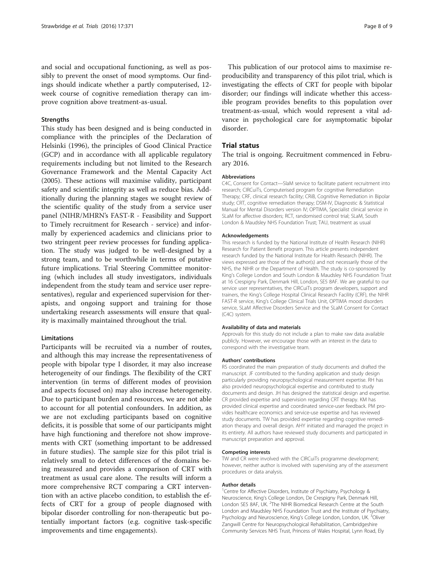and social and occupational functioning, as well as possibly to prevent the onset of mood symptoms. Our findings should indicate whether a partly computerised, 12 week course of cognitive remediation therapy can improve cognition above treatment-as-usual.

#### **Strengths**

This study has been designed and is being conducted in compliance with the principles of the Declaration of Helsinki (1996), the principles of Good Clinical Practice (GCP) and in accordance with all applicable regulatory requirements including but not limited to the Research Governance Framework and the Mental Capacity Act (2005). These actions will maximise validity, participant safety and scientific integrity as well as reduce bias. Additionally during the planning stages we sought review of the scientific quality of the study from a service user panel (NIHR/MHRN's FAST-R - Feasibility and Support to Timely recruitment for Research - service) and informally by experienced academics and clinicians prior to two stringent peer review processes for funding application. The study was judged to be well-designed by a strong team, and to be worthwhile in terms of putative future implications. Trial Steering Committee monitoring (which includes all study investigators, individuals independent from the study team and service user representatives), regular and experienced supervision for therapists, and ongoing support and training for those undertaking research assessments will ensure that quality is maximally maintained throughout the trial.

### Limitations

Participants will be recruited via a number of routes, and although this may increase the representativeness of people with bipolar type I disorder, it may also increase heterogeneity of our findings. The flexibility of the CRT intervention (in terms of different modes of provision and aspects focused on) may also increase heterogeneity. Due to participant burden and resources, we are not able to account for all potential confounders. In addition, as we are not excluding participants based on cognitive deficits, it is possible that some of our participants might have high functioning and therefore not show improvements with CRT (something important to be addressed in future studies). The sample size for this pilot trial is relatively small to detect differences of the domains being measured and provides a comparison of CRT with treatment as usual care alone. The results will inform a more comprehensive RCT comparing a CRT intervention with an active placebo condition, to establish the effects of CRT for a group of people diagnosed with bipolar disorder controlling for non-therapeutic but potentially important factors (e.g. cognitive task-specific improvements and time engagements).

This publication of our protocol aims to maximise reproducibility and transparency of this pilot trial, which is investigating the effects of CRT for people with bipolar disorder; our findings will indicate whether this accessible program provides benefits to this population over treatment-as-usual, which would represent a vital advance in psychological care for asymptomatic bipolar disorder.

#### Trial status

The trial is ongoing. Recruitment commenced in February 2016.

#### Abbreviations

C4C, Consent for Contact—SlaM service to facilitate patient recruitment into research; CIRCuiTs, Computerised program for cognitive Remediation Therapy; CRF, clinical research facility; CRiB, Cognitive Remediation in Bipolar study; CRT, cognitive remediation therapy; DSM-IV, Diagnostic & Statistical Manual for Mental Disorders version IV; OPTIMA, Specialist clinical service in SLaM for affective disorders; RCT, randomised control trial; SLaM, South London & Maudsley NHS Foundation Trust; TAU, treatment as usual

#### Acknowledgements

This research is funded by the National Institute of Health Research (NIHR) Research for Patient Benefit program. This article presents independent research funded by the National Institute for Health Research (NIHR). The views expressed are those of the author(s) and not necessarily those of the NHS, the NIHR or the Department of Health. The study is co-sponsored by King's College London and South London & Maudsley NHS Foundation Trust at 16 Crespigny Park, Denmark Hill, London, SE5 8AF. We are grateful to our service user representatives, the CIRCuiTs program developers, support and trainers, the King's College Hospital Clinical Research Facility (CRF), the NIHR FAST-R service, King's College Clinical Trials Unit, OPTIMA mood disorders service, SLaM Affective Disorders Service and the SLaM Consent for Contact (C4C) system.

#### Availability of data and materials

Approvals for this study do not include a plan to make raw data available publicly. However, we encourage those with an interest in the data to correspond with the investigative team.

#### Authors' contributions

RS coordinated the main preparation of study documents and drafted the manuscript. JF contributed to the funding application and study design particularly providing neuropsychological measurement expertise. RH has also provided neuropsychological expertise and contributed to study documents and design. JH has designed the statistical design and expertise. CR provided expertise and supervision regarding CRT therapy. KM has provided clinical expertise and coordinated service-user feedback. PM provides healthcare economics and service-use expertise and has reviewed study documents. TW has provided expertise regarding cognitive remediation therapy and overall design. AHY initiated and managed the project in its entirety. All authors have reviewed study documents and participated in manuscript preparation and approval.

#### Competing interests

TW and CR were involved with the CIRCuiTs programme development; however, neither author is involved with supervising any of the assessment procedures or data analysis.

#### Author details

<sup>1</sup> Centre for Affective Disorders, Institute of Psychiatry, Psychology & Neuroscience, King's College London, De Crespigny Park, Denmark Hill, London SE5 8AF, UK. <sup>2</sup>The NIHR Biomedical Research Centre at the South London and Maudsley NHS Foundation Trust and the Institute of Psychiatry, Psychology and Neuroscience, King's College London, London, UK. <sup>3</sup>Oliver Zangwill Centre for Neuropsychological Rehabilitation, Cambridgeshire Community Services NHS Trust, Princess of Wales Hospital, Lynn Road, Ely